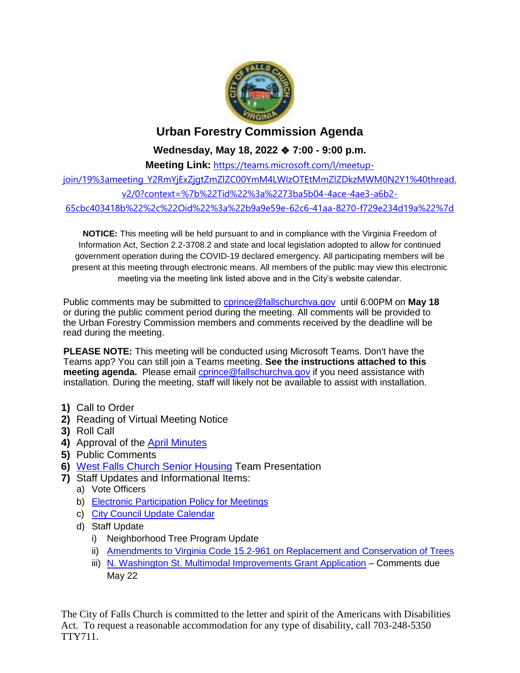

## **Urban Forestry Commission Agenda**

**Wednesday, May 18, 2022** ❖ **7:00 - 9:00 p.m.**

**Meeting Link:** [https://teams.microsoft.com/l/meetup](https://teams.microsoft.com/l/meetup-join/19%3ameeting_Y2RmYjExZjgtZmZlZC00YmM4LWIzOTEtMmZlZDkzMWM0N2Y1%40thread.v2/0?context=%7b%22Tid%22%3a%2273ba5b04-4ace-4ae3-a6b2-65cbc403418b%22%2c%22Oid%22%3a%22b9a9e59e-62c6-41aa-8270-f729e234d19a%22%7d)[join/19%3ameeting\\_Y2RmYjExZjgtZmZlZC00YmM4LWIzOTEtMmZlZDkzMWM0N2Y1%40thread.](https://teams.microsoft.com/l/meetup-join/19%3ameeting_Y2RmYjExZjgtZmZlZC00YmM4LWIzOTEtMmZlZDkzMWM0N2Y1%40thread.v2/0?context=%7b%22Tid%22%3a%2273ba5b04-4ace-4ae3-a6b2-65cbc403418b%22%2c%22Oid%22%3a%22b9a9e59e-62c6-41aa-8270-f729e234d19a%22%7d) [v2/0?context=%7b%22Tid%22%3a%2273ba5b04-4ace-4ae3-a6b2-](https://teams.microsoft.com/l/meetup-join/19%3ameeting_Y2RmYjExZjgtZmZlZC00YmM4LWIzOTEtMmZlZDkzMWM0N2Y1%40thread.v2/0?context=%7b%22Tid%22%3a%2273ba5b04-4ace-4ae3-a6b2-65cbc403418b%22%2c%22Oid%22%3a%22b9a9e59e-62c6-41aa-8270-f729e234d19a%22%7d) [65cbc403418b%22%2c%22Oid%22%3a%22b9a9e59e-62c6-41aa-8270-f729e234d19a%22%7d](https://teams.microsoft.com/l/meetup-join/19%3ameeting_Y2RmYjExZjgtZmZlZC00YmM4LWIzOTEtMmZlZDkzMWM0N2Y1%40thread.v2/0?context=%7b%22Tid%22%3a%2273ba5b04-4ace-4ae3-a6b2-65cbc403418b%22%2c%22Oid%22%3a%22b9a9e59e-62c6-41aa-8270-f729e234d19a%22%7d)

**NOTICE:** This meeting will be held pursuant to and in compliance with the Virginia Freedom of Information Act, Section 2.2-3708.2 and state and local legislation adopted to allow for continued government operation during the COVID-19 declared emergency. All participating members will be present at this meeting through electronic means. All members of the public may view this electronic meeting via the meeting link listed above and in the City's website calendar.

Public comments may be submitted to [cprince@fallschurchva.gov](mailto:cprince@fallschurchva.gov) until 6:00PM on **May 18** or during the public comment period during the meeting. All comments will be provided to the Urban Forestry Commission members and comments received by the deadline will be read during the meeting.

**PLEASE NOTE:** This meeting will be conducted using Microsoft Teams. Don't have the Teams app? You can still join a Teams meeting. **See the instructions attached to this meeting agenda.** Please email [cprince@fallschurchva.gov](mailto:cprince@fallschurchva.gov) if you need assistance with installation. During the meeting, staff will likely not be available to assist with installation.

- **1)** Call to Order
- **2)** Reading of Virtual Meeting Notice
- **3)** Roll Call
- **4)** Approval of the [April Minutes](https://www.fallschurchva.gov/DocumentCenter/View/16304/2022-4-13-UFC-Minutes---Draft)
- **5)** Public Comments
- **6)** [West Falls Church Senior Housing](http://fallschurchva.gov/1599/West-Falls-Project) Team Presentation
- **7)** Staff Updates and Informational Items:
	- a) Vote Officers
	- b) [Electronic Participation Policy for Meetings](https://www.fallschurchva.gov/DocumentCenter/View/16303/2022-04-13-UFC-Electronic-Meeting-Participation-DRAFT)
	- c) [City Council Update Calendar](https://www.fallschurchva.gov/DocumentCenter/View/16305/Council-Schedule)
	- d) Staff Update
		- i) Neighborhood Tree Program Update
		- ii) [Amendments to Virginia Code 15.2-961 on Replacement and Conservation of Trees](https://lis.virginia.gov/cgi-bin/legp604.exe?221+ful+SB537ER)
		- iii) [N. Washington St. Multimodal Improvements Grant Application](https://thenovaauthority.org/wp-content/uploads/2022/04/CFC-008-North-Washington-Street-Multimodal-Improvements-Project.pdf) Comments due May 22

The City of Falls Church is committed to the letter and spirit of the Americans with Disabilities Act. To request a reasonable accommodation for any type of disability, call 703-248-5350 TTY711.